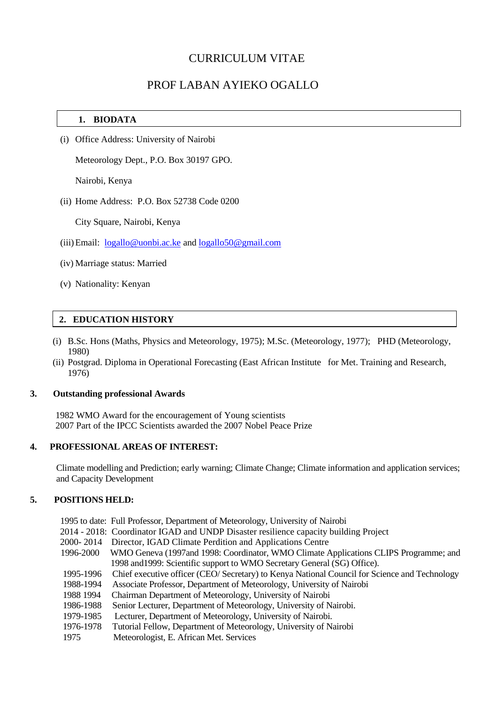# CURRICULUM VITAE

# PROF LABAN AYIEKO OGALLO

### **1. BIODATA**

(i) Office Address: University of Nairobi

Meteorology Dept., P.O. Box 30197 GPO.

Nairobi, Kenya

(ii) Home Address: P.O. Box 52738 Code 0200

City Square, Nairobi, Kenya

- (iii)Email: [logallo@uonbi.ac.ke](mailto:logallo@uonbi.ac.ke) and [logallo50@gmail.com](mailto:logallo50@gmail.com)
- (iv) Marriage status: Married
- (v) Nationality: Kenyan

### **2. EDUCATION HISTORY**

- (i) B.Sc. Hons (Maths, Physics and Meteorology, 1975); M.Sc. (Meteorology, 1977); PHD (Meteorology, 1980)
- (ii) Postgrad. Diploma in Operational Forecasting (East African Institute for Met. Training and Research, 1976)

#### **3. Outstanding professional Awards**

 1982 WMO Award for the encouragement of Young scientists 2007 Part of the IPCC Scientists awarded the 2007 Nobel Peace Prize

### **4. PROFESSIONAL AREAS OF INTEREST:**

 Climate modelling and Prediction; early warning; Climate Change; Climate information and application services; and Capacity Development

### **5. POSITIONS HELD:**

|           | 1995 to date: Full Professor, Department of Meteorology, University of Nairobi               |
|-----------|----------------------------------------------------------------------------------------------|
|           | 2014 - 2018: Coordinator IGAD and UNDP Disaster resilience capacity building Project         |
| 2000-2014 | Director, IGAD Climate Perdition and Applications Centre                                     |
| 1996-2000 | WMO Geneva (1997and 1998: Coordinator, WMO Climate Applications CLIPS Programme; and         |
|           | 1998 and 1999: Scientific support to WMO Secretary General (SG) Office).                     |
| 1995-1996 | Chief executive officer (CEO/Secretary) to Kenya National Council for Science and Technology |
| 1988-1994 | Associate Professor, Department of Meteorology, University of Nairobi                        |
| 1988 1994 | Chairman Department of Meteorology, University of Nairobi                                    |
| 1986-1988 | Senior Lecturer, Department of Meteorology, University of Nairobi.                           |
| 1979-1985 | Lecturer, Department of Meteorology, University of Nairobi.                                  |
| 1976-1978 | Tutorial Fellow, Department of Meteorology, University of Nairobi                            |
| 1975      | Meteorologist, E. African Met. Services                                                      |
|           |                                                                                              |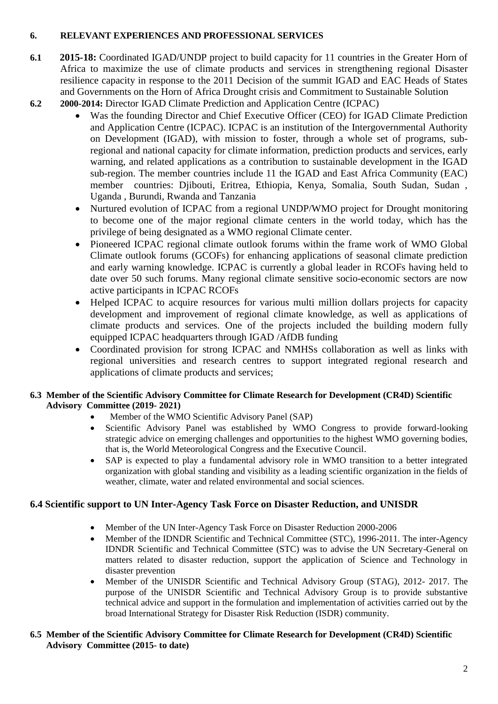## **6. RELEVANT EXPERIENCES AND PROFESSIONAL SERVICES**

- **6.1 2015-18:** Coordinated IGAD/UNDP project to build capacity for 11 countries in the Greater Horn of Africa to maximize the use of climate products and services in strengthening regional Disaster resilience capacity in response to the 2011 Decision of the summit IGAD and EAC Heads of States and Governments on the Horn of Africa Drought crisis and Commitment to Sustainable Solution
- **6.2 2000-2014:** Director IGAD Climate Prediction and Application Centre (ICPAC)
	- Was the founding Director and Chief Executive Officer (CEO) for IGAD Climate Prediction and Application Centre (ICPAC). ICPAC is an institution of the Intergovernmental Authority on Development (IGAD), with mission to foster, through a whole set of programs, subregional and national capacity for climate information, prediction products and services, early warning, and related applications as a contribution to sustainable development in the IGAD sub-region. The member countries include 11 the IGAD and East Africa Community (EAC) member countries: Djibouti, Eritrea, Ethiopia, Kenya, Somalia, South Sudan, Sudan , Uganda , Burundi, Rwanda and Tanzania
	- Nurtured evolution of ICPAC from a regional UNDP/WMO project for Drought monitoring to become one of the major regional climate centers in the world today, which has the privilege of being designated as a WMO regional Climate center.
	- Pioneered ICPAC regional climate outlook forums within the frame work of WMO Global Climate outlook forums (GCOFs) for enhancing applications of seasonal climate prediction and early warning knowledge. ICPAC is currently a global leader in RCOFs having held to date over 50 such forums. Many regional climate sensitive socio-economic sectors are now active participants in ICPAC RCOFs
	- Helped ICPAC to acquire resources for various multi million dollars projects for capacity development and improvement of regional climate knowledge, as well as applications of climate products and services. One of the projects included the building modern fully equipped ICPAC headquarters through IGAD /AfDB funding
	- Coordinated provision for strong ICPAC and NMHSs collaboration as well as links with regional universities and research centres to support integrated regional research and applications of climate products and services;

## **6.3 Member of the Scientific Advisory Committee for Climate Research for Development (CR4D) Scientific Advisory Committee (2019- 2021)**

- •Member of the WMO Scientific Advisory Panel (SAP)
- Scientific Advisory Panel was established by WMO Congress to provide forward-looking strategic advice on emerging challenges and opportunities to the highest WMO governing bodies, that is, the World Meteorological Congress and the Executive Council.
- SAP is expected to play a fundamental advisory role in WMO transition to a better integrated organization with global standing and visibility as a leading scientific organization in the fields of weather, climate, water and related environmental and social sciences.

# **6.4 Scientific support to UN Inter-Agency Task Force on Disaster Reduction, and UNISDR**

- Member of the UN Inter-Agency Task Force on Disaster Reduction 2000-2006
- Member of the IDNDR Scientific and Technical Committee (STC), 1996-2011. The inter-Agency IDNDR Scientific and Technical Committee (STC) was to advise the UN Secretary-General on matters related to disaster reduction, support the application of Science and Technology in disaster prevention
- Member of the UNISDR Scientific and Technical Advisory Group (STAG), 2012- 2017. The purpose of the UNISDR Scientific and Technical Advisory Group is to provide substantive technical advice and support in the formulation and implementation of activities carried out by the broad International Strategy for Disaster Risk Reduction (ISDR) community.
- **6.5 Member of the Scientific Advisory Committee for Climate Research for Development (CR4D) Scientific Advisory Committee (2015- to date)**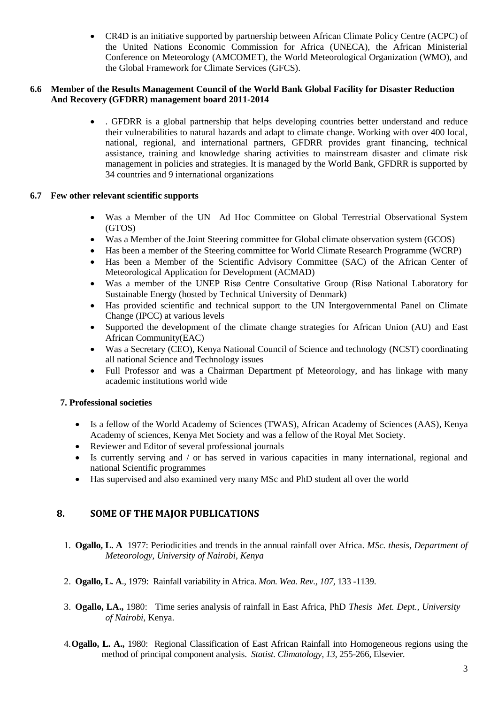• CR4D is an initiative supported by partnership between African Climate Policy Centre (ACPC) of the United Nations Economic Commission for Africa (UNECA), the African Ministerial Conference on Meteorology (AMCOMET), the World Meteorological Organization (WMO), and the Global Framework for Climate Services (GFCS).

### **6.6 Member of the Results Management Council of the World Bank Global Facility for Disaster Reduction And Recovery (GFDRR) management board 2011-2014**

• . GFDRR is a global partnership that helps developing countries better understand and reduce their vulnerabilities to natural hazards and adapt to climate change. Working with over 400 local, national, regional, and international partners, GFDRR provides grant financing, technical assistance, training and knowledge sharing activities to mainstream disaster and climate risk management in policies and strategies. It is managed by the World Bank, GFDRR is supported by 34 countries and 9 international organizations

### **6.7 Few other relevant scientific supports**

- Was a Member of the UN Ad Hoc Committee on Global Terrestrial Observational System (GTOS)
- Was a Member of the Joint Steering committee for Global climate observation system (GCOS)
- Has been a member of the Steering committee for World Climate Research Programme (WCRP)
- Has been a Member of the Scientific Advisory Committee (SAC) of the African Center of Meteorological Application for Development (ACMAD)
- Was a member of the UNEP Risø Centre Consultative Group (Risø National Laboratory for Sustainable Energy (hosted by Technical University of Denmark)
- Has provided scientific and technical support to the UN Intergovernmental Panel on Climate Change (IPCC) at various levels
- Supported the development of the climate change strategies for African Union (AU) and East African Community(EAC)
- Was a Secretary (CEO), Kenya National Council of Science and technology (NCST) coordinating all national Science and Technology issues
- Full Professor and was a Chairman Department pf Meteorology, and has linkage with many academic institutions world wide

## **7. Professional societies**

- Is a fellow of the World Academy of Sciences (TWAS), African Academy of Sciences (AAS), Kenya Academy of sciences, Kenya Met Society and was a fellow of the Royal Met Society.
- Reviewer and Editor of several professional journals
- Is currently serving and / or has served in various capacities in many international, regional and national Scientific programmes
- Has supervised and also examined very many MSc and PhD student all over the world

# **8. SOME OF THE MAJOR PUBLICATIONS**

- 1. **Ogallo, L. A** 1977: Periodicities and trends in the annual rainfall over Africa. *MSc. thesis, Department of Meteorology, University of Nairobi, Kenya*
- 2. **Ogallo, L. A**., 1979: Rainfall variability in Africa. *Mon. Wea. Rev., 107,* 133 -1139.
- 3. **Ogallo, LA.,** 1980: Time series analysis of rainfall in East Africa, PhD *Thesis Met. Dept., University of Nairobi,* Kenya.
- 4.**Ogallo, L. A.,** 1980: Regional Classification of East African Rainfall into Homogeneous regions using the method of principal component analysis. *Statist. Climatology, 13,* 255-266, Elsevier.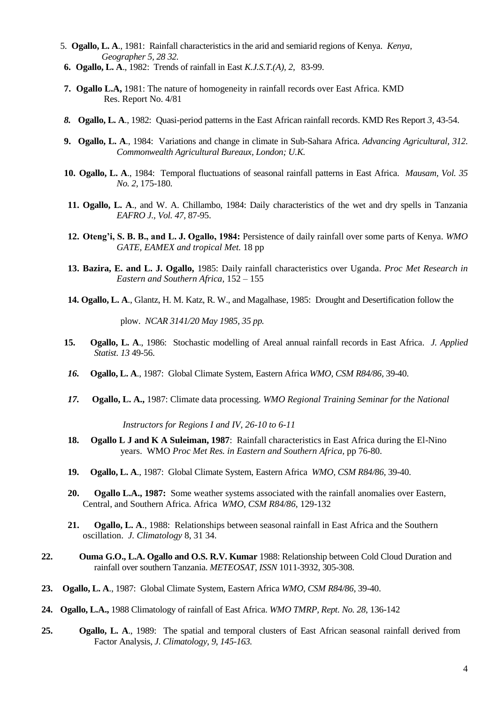- 5. **Ogallo, L. A**., 1981: Rainfall characteristics in the arid and semiarid regions of Kenya. *Kenya, Geographer 5, 28 32.*
- **6.****Ogallo, L. A**., 1982: Trends of rainfall in East *K.J.S.T.(A), 2,* 83-99.
- **7. Ogallo L.A,** 1981: The nature of homogeneity in rainfall records over East Africa. KMD Res. Report No. 4/81
- *8.* **Ogallo, L. A**., 1982: Quasi-period patterns in the East African rainfall records. KMD Res Report *3,* 43-54.
- **9. Ogallo, L. A**., 1984: Variations and change in climate in Sub-Sahara Africa. *Advancing Agricultural, 312. Commonwealth Agricultural Bureaux, London; U.K.*
- **10. Ogallo, L. A**., 1984: Temporal fluctuations of seasonal rainfall patterns in East Africa. *Mausam, Vol. 35 No. 2,* 175-180.
- **11. Ogallo, L. A**., and W. A. Chillambo, 1984: Daily characteristics of the wet and dry spells in Tanzania *EAFRO J., Vol. 47,* 87-95.
- **12. Oteng'i, S. B. B., and L. J. Ogallo, 1984:** Persistence of daily rainfall over some parts of Kenya. *WMO GATE, EAMEX and tropical Met.* 18 pp
- **13. Bazira, E. and L. J. Ogallo,** 1985: Daily rainfall characteristics over Uganda. *Proc Met Research in Eastern and Southern Africa,* 152 – 155
- **14. Ogallo, L. A**., Glantz, H. M. Katz, R. W., and Magalhase, 1985: Drought and Desertification follow the

plow. *NCAR 3141/20 May 1985, 35 pp.*

- **15. Ogallo, L. A**., 1986: Stochastic modelling of Areal annual rainfall records in East Africa. *J. Applied Statist. 13* 49-56.
- *16.* **Ogallo, L. A**., 1987: Global Climate System, Eastern Africa *WMO, CSM R84/86,* 39-40.
- *17.* **Ogallo, L. A.,** 1987: Climate data processing. *WMO Regional Training Seminar for the National*

*Instructors for Regions I and IV, 26-10 to 6-11* 

- **18. Ogallo L J and K A Suleiman, 1987**: Rainfall characteristics in East Africa during the El-Nino years. WMO *Proc Met Res. in Eastern and Southern Africa,* pp 76-80.
- **19. Ogallo, L. A**., 1987: Global Climate System, Eastern Africa *WMO, CSM R84/86,* 39-40.
- **20. Ogallo L.A., 1987:** Some weather systems associated with the rainfall anomalies over Eastern, Central, and Southern Africa. Africa *WMO, CSM R84/86*, 129-132
- **21. Ogallo, L. A**., 1988: Relationships between seasonal rainfall in East Africa and the Southern oscillation. *J. Climatology* 8, 31 34.
- **22. Ouma G.O., L.A. Ogallo and O.S. R.V. Kumar** 1988: Relationship between Cold Cloud Duration and rainfall over southern Tanzania. *METEOSAT, ISSN* 1011-3932, 305-308.
- **23. Ogallo, L. A**., 1987: Global Climate System, Eastern Africa *WMO, CSM R84/86,* 39-40.
- **24. Ogallo, L.A.,** 1988 Climatology of rainfall of East Africa. *WMO TMRP, Rept. No. 28*, 136-142
- **25. Ogallo, L. A**., 1989: The spatial and temporal clusters of East African seasonal rainfall derived from Factor Analysis, *J. Climatology, 9, 145-163.*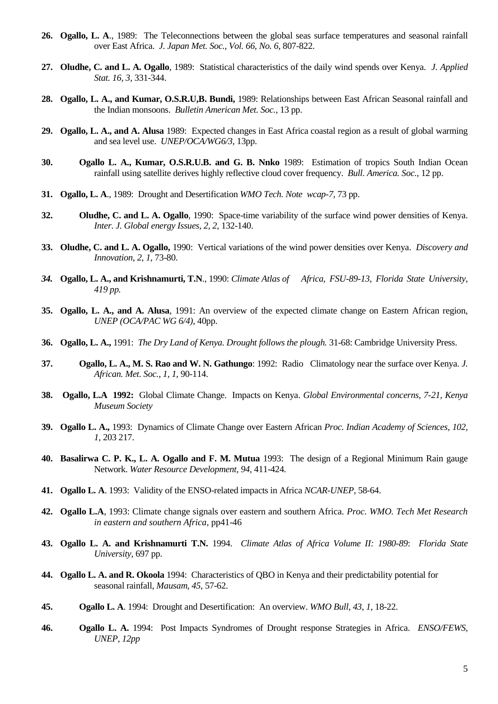- **26. Ogallo, L. A**., 1989: The Teleconnections between the global seas surface temperatures and seasonal rainfall over East Africa. *J. Japan Met. Soc., Vol. 66, No. 6,* 807-822.
- **27. Oludhe, C. and L. A. Ogallo**, 1989: Statistical characteristics of the daily wind spends over Kenya. *J. Applied Stat. 16, 3,* 331-344.
- **28. Ogallo, L. A., and Kumar, O.S.R.U,B. Bundi,** 1989: Relationships between East African Seasonal rainfall and the Indian monsoons. *Bulletin American Met. Soc.,* 13 pp.
- **29. Ogallo, L. A., and A. Alusa** 1989: Expected changes in East Africa coastal region as a result of global warming and sea level use. *UNEP/OCA/WG6/3,* 13pp.
- **30. Ogallo L. A., Kumar, O.S.R.U.B. and G. B. Nnko** 1989: Estimation of tropics South Indian Ocean rainfall using satellite derives highly reflective cloud cover frequency. *Bull. America. Soc.,* 12 pp.
- **31. Ogallo, L. A**., 1989: Drought and Desertification *WMO Tech. Note wcap-7,* 73 pp.
- **32. Oludhe, C. and L. A. Ogallo**, 1990: Space-time variability of the surface wind power densities of Kenya. *Inter. J. Global energy Issues, 2, 2,* 132-140.
- **33. Oludhe, C. and L. A. Ogallo,** 1990: Vertical variations of the wind power densities over Kenya. *Discovery and Innovation, 2, 1,* 73-80.
- *34.* **Ogallo, L. A., and Krishnamurti, T.N**., 1990: *Climate Atlas of Africa, FSU-89-13, Florida State University, 419 pp.*
- **35. Ogallo, L. A., and A. Alusa**, 1991: An overview of the expected climate change on Eastern African region, *UNEP (OCA/PAC WG 6/4),* 40pp.
- **36. Ogallo, L. A.,** 1991: *The Dry Land of Kenya. Drought follows the plough.* 31-68: Cambridge University Press.
- **37. Ogallo, L. A., M. S. Rao and W. N. Gathungo**: 1992: Radio Climatology near the surface over Kenya. *J. African. Met. Soc., 1, 1,* 90-114.
- **38. Ogallo, L.A 1992:** Global Climate Change. Impacts on Kenya. *Global Environmental concerns, 7-21, Kenya Museum Society*
- **39. Ogallo L. A.,** 1993: Dynamics of Climate Change over Eastern African *Proc. Indian Academy of Sciences, 102, 1,* 203 217.
- **40. Basalirwa C. P. K., L. A. Ogallo and F. M. Mutua** 1993: The design of a Regional Minimum Rain gauge Network. *Water Resource Development, 94,* 411-424.
- **41. Ogallo L. A**. 1993: Validity of the ENSO-related impacts in Africa *NCAR-UNEP,* 58-64.
- **42. Ogallo L.A**, 1993: Climate change signals over eastern and southern Africa. *Proc. WMO. Tech Met Research in eastern and southern Africa*, pp41-46
- **43. Ogallo L. A. and Krishnamurti T.N.** 1994. *Climate Atlas of Africa Volume II: 1980-89*: *Florida State University,* 697 pp.
- **44. Ogallo L. A. and R. Okoola** 1994: Characteristics of QBO in Kenya and their predictability potential for seasonal rainfall, *Mausam, 45,* 57-62.
- **45. Ogallo L. A**. 1994: Drought and Desertification: An overview. *WMO Bull, 43, 1,* 18-22.
- **46. Ogallo L. A.** 1994: Post Impacts Syndromes of Drought response Strategies in Africa. *ENSO/FEWS, UNEP, 12pp*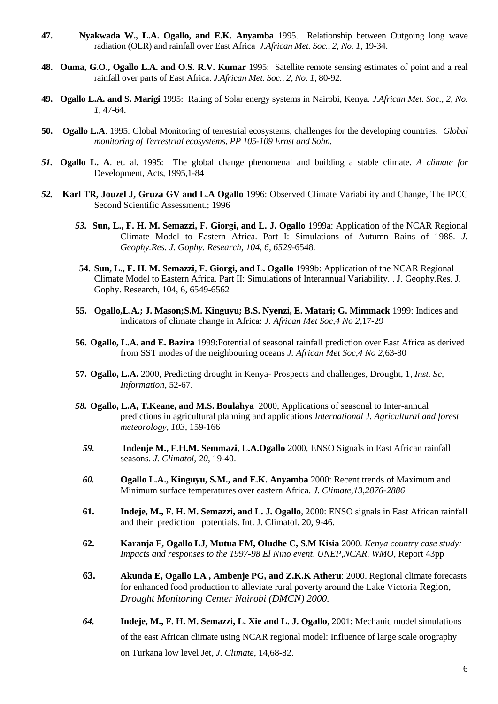- **47. Nyakwada W., L.A. Ogallo, and E.K. Anyamba** 1995. Relationship between Outgoing long wave radiation (OLR) and rainfall over East Africa *J.African Met. Soc., 2, No. 1,* 19-34.
- **48. Ouma, G.O., Ogallo L.A. and O.S. R.V. Kumar** 1995: Satellite remote sensing estimates of point and a real rainfall over parts of East Africa. *J.African Met. Soc., 2, No. 1,* 80-92.
- **49. Ogallo L.A. and S. Marigi** 1995: Rating of Solar energy systems in Nairobi, Kenya. *J.African Met. Soc., 2, No. 1,* 47-64.
- **50. Ogallo L.A**. 1995: Global Monitoring of terrestrial ecosystems, challenges for the developing countries. *Global monitoring of Terrestrial ecosystems, PP 105-109 Ernst and Sohn.*
- *51.* **Ogallo L. A**. et. al. 1995: The global change phenomenal and building a stable climate. *A climate for*  Development, Acts, 1995,1-84
- *52.* **Karl TR, Jouzel J, Gruza GV and L.A Ogallo** 1996: Observed Climate Variability and Change, The IPCC Second Scientific Assessment.; 1996
	- *53.* **Sun, L., F. H. M. Semazzi, F. Giorgi, and L. J. Ogallo** 1999a: Application of the NCAR Regional Climate Model to Eastern Africa. Part I: Simulations of Autumn Rains of 1988. *J. Geophy.Res. J. Gophy. Research, 104, 6, 6529*-6548*.*
	- **54. Sun, L., F. H. M. Semazzi, F. Giorgi, and L. Ogallo** 1999b: Application of the NCAR Regional Climate Model to Eastern Africa. Part II: Simulations of Interannual Variability. . J. Geophy.Res. J. Gophy. Research, 104, 6, 6549-6562
	- **55. Ogallo,L.A.; J. Mason;S.M. Kinguyu; B.S. Nyenzi, E. Matari; G. Mimmack** 1999: Indices and indicators of climate change in Africa: *J. African Met Soc,4 No 2*,17-29
	- **56. Ogallo, L.A. and E. Bazira** 1999:Potential of seasonal rainfall prediction over East Africa as derived from SST modes of the neighbouring oceans *J. African Met Soc,4 No 2*,63-80
	- **57. Ogallo, L.A.** 2000, Predicting drought in Kenya- Prospects and challenges, Drought, 1*, Inst. Sc, Information*, 52-67.
	- *58.* **Ogallo, L.A, T.Keane, and M.S. Boulahya** 2000, Applications of seasonal to Inter-annual predictions in agricultural planning and applications *International J. Agricultural and forest meteorology, 103*, 159-166
		- *59.* **Indenje M., F.H.M. Semmazi, L.A.Ogallo** 2000, ENSO Signals in East African rainfall seasons. *J. Climatol, 20*, 19-40.
		- *60.* **Ogallo L.A., Kinguyu, S.M., and E.K. Anyamba** 2000: Recent trends of Maximum and Minimum surface temperatures over eastern Africa. *J. Climate,13,2876-2886*
		- **61. Indeje, M., F. H. M. Semazzi, and L. J. Ogallo**, 2000: ENSO signals in East African rainfall and their prediction potentials. Int. J. Climatol. 20, 9-46.
		- **62. Karanja F, Ogallo LJ, Mutua FM, Oludhe C, S.M Kisia** 2000. *[Kenya country case study:](https://profiles.uonbi.ac.ke/fmutua/publications/kenya-country-case-study-impacts-and-responses-1997-98-el-nino-event)  [Impacts and responses to the 1997-98 El Nino event](https://profiles.uonbi.ac.ke/fmutua/publications/kenya-country-case-study-impacts-and-responses-1997-98-el-nino-event)*. *UNEP,NCAR, WMO*, Report 43pp
		- **63. Akunda E, Ogallo LA , Ambenje PG, and Z.K.K Atheru**: 2000. Regional climate forecasts for enhanced food production to alleviate rural poverty around the Lake Victoria Region, *Drought Monitoring Center Nairobi (DMCN) 2000.*
		- *64.* **Indeje, M., F. H. M. Semazzi, L. Xie and L. J. Ogallo**, 2001: Mechanic model simulations of the east African climate using NCAR regional model: Influence of large scale orography on Turkana low level Jet*, J. Climate,* 14,68-82.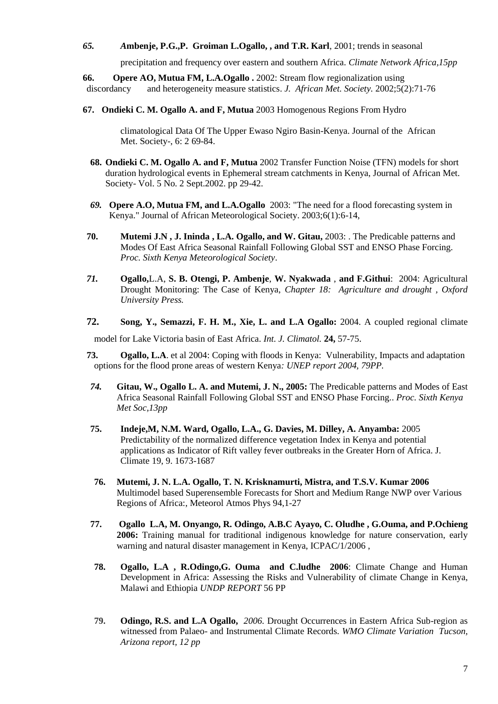### *65. A***mbenje, P.G.,P. Groiman L.Ogallo, , and T.R. Karl**, 2001; trends in seasonal

precipitation and frequency over eastern and southern Africa. *Climate Network Africa,15pp* 

**66. Opere AO, Mutua FM, L.A.Ogallo .** 2002: [Stream flow regionalization using](https://profiles.uonbi.ac.ke/fmutua/publications/stream-flow-regionalization-using-discordancy-and-heterogeneity-measure-statisti)  [discordancy and heterogeneity measure statistics.](https://profiles.uonbi.ac.ke/fmutua/publications/stream-flow-regionalization-using-discordancy-and-heterogeneity-measure-statisti) *J. African Met. Society.* 2002;5(2):71-76

**67. Ondieki C. M. Ogallo A. and F, Mutua** 2003 Homogenous Regions From Hydro

climatological Data Of The Upper Ewaso Ngiro Basin-Kenya. Journal of the African Met. Society-, 6: 2 69-84.

- **68. Ondieki C. M. Ogallo A. and F, Mutua** 2002 Transfer Function Noise (TFN) models for short duration hydrological events in Ephemeral stream catchments in Kenya, Journal of African Met. Society- Vol. 5 No. 2 Sept.2002. pp 29-42.
- *69.* **Opere A.O, Mutua FM, and L.A.Ogallo** 2003: "The need for a flood forecasting system in Kenya." Journal of African Meteorological Society. 2003;6(1):6-14,
- **70. Mutemi J.N , J. Ininda , L.A. Ogallo, and W. Gitau,** 2003: . The Predicable patterns and Modes Of East Africa Seasonal Rainfall Following Global SST and ENSO Phase Forcing. *Proc. Sixth Kenya Meteorological Society*.
- *71.* **Ogallo,**L.A, **S. B. Otengi, P. Ambenje**, **W. Nyakwada** , **and F.Githui**: 2004: Agricultural Drought Monitoring: The Case of Kenya, *Chapter 18: Agriculture and drought , Oxford University Press.*
- **72. Song, Y., Semazzi, F. H. M., Xie, L. and L.A Ogallo:** 2004. A coupled regional climate model for Lake Victoria basin of East Africa. *Int. J. Climatol.* **24,** 57-75.
- **73. Ogallo, L.A**. et al 2004: Coping with floods in Kenya: Vulnerability, Impacts and adaptation options for the flood prone areas of western Kenya*: UNEP report 2004, 79PP.*
- *74.* **Gitau, W., Ogallo L. A. and Mutemi, J. N., 2005:** [The Predicable patterns and Modes of East](https://profiles.uonbi.ac.ke/mnzau/publications/predicable-patterns-and-modes-east-africa-seasonal-rainfall-following-global-sst-)  [Africa Seasonal Rainfall Following Global SST and ENSO Phase Forcing..](https://profiles.uonbi.ac.ke/mnzau/publications/predicable-patterns-and-modes-east-africa-seasonal-rainfall-following-global-sst-) *Proc. Sixth Kenya Met Soc,13pp*
- **75. Indeje,M, N.M. Ward, Ogallo, L.A., G. Davies, M. Dilley, A. Anyamba:** 2005 Predictability of the normalized difference vegetation Index in Kenya and potential applications as Indicator of Rift valley fever outbreaks in the Greater Horn of Africa. J. Climate 19, 9. 1673-1687
- **76. Mutemi, J. N. L.A. Ogallo, T. N. Krisknamurti, Mistra, and T.S.V. Kumar 2006** Multimodel based Superensemble Forecasts for Short and Medium Range NWP over Various Regions of Africa:, Meteorol Atmos Phys 94,1-27
- **77. Ogallo L.A, M. Onyango, R. Odingo, A.B.C Ayayo, C. Oludhe , G.Ouma, and P.Ochieng 2006:** Training manual for traditional indigenous knowledge for nature conservation, early warning and natural disaster management in Kenya, ICPAC/1/2006 ,
- **78. Ogallo, L.A , R.Odingo,G. Ouma and C.ludhe 2006**: Climate Change and Human Development in Africa: Assessing the Risks and Vulnerability of climate Change in Kenya, Malawi and Ethiopia *UNDP REPORT* 56 PP
- **79. Odingo, R.S. and L.A Ogallo,** *2006.* Drought Occurrences in Eastern Africa Sub-region as witnessed from Palaeo- and Instrumental Climate Records. *WMO Climate Variation Tucson, Arizona report, 12 pp*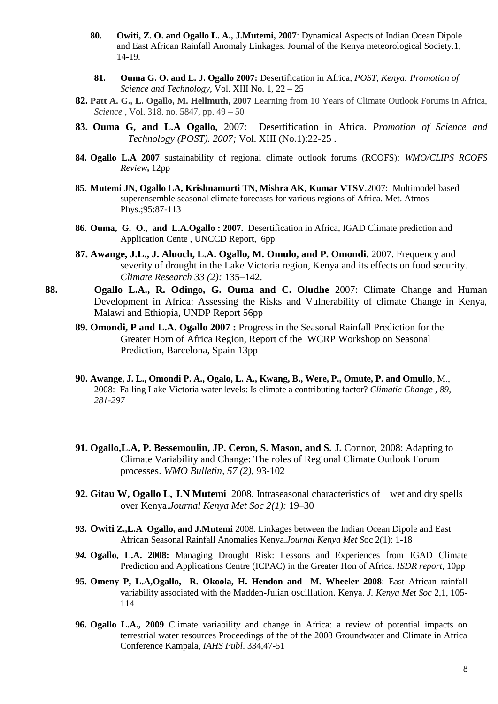- **80. Owiti, Z. O. and Ogallo L. A., J.Mutemi, 2007**: Dynamical Aspects of Indian Ocean Dipole and East African Rainfall Anomaly Linkages. Journal of the Kenya meteorological Society.1, 14-19.
- **81. Ouma G. O. and L. J. Ogallo 2007:** Desertification in Africa, *POST, Kenya: Promotion of Science and Technology,* Vol. XIII No. 1, 22 – 25
- **82. Patt A. G., L. Ogallo, M. Hellmuth, 2007** Learning from 10 Years of Climate Outlook Forums in Africa, *Science* , Vol. 318. no. 5847, pp. 49 – 50
- **83. Ouma G, and L.A Ogallo,** 2007: Desertification in Africa. *Promotion of Science and Technology (POST). 2007;* Vol. XIII (No.1):22-25 .
- **84. Ogallo L.A 2007** sustainability of regional climate outlook forums (RCOFS): *WMO/CLIPS RCOFS Review***,** 12pp
- **85. Mutemi JN, Ogallo LA, Krishnamurti TN, Mishra AK, Kumar VTSV**.2007: Multimodel based superensemble seasonal climate forecasts for various regions of Africa. Met. Atmos Phys.;95:87-113
- **86. Ouma, G. O., and L.A.Ogallo : 2007.** Desertification in Africa, IGAD Climate prediction and Application Cente , UNCCD Report, 6pp
- **87. Awange, J.L., J. Aluoch, L.A. Ogallo, M. Omulo, and P. Omondi.** 2007. Frequency and severity of drought in the Lake Victoria region, Kenya and its effects on food security. *Climate Research 33 (2):* 135–142.
- **88. Ogallo L.A., R. Odingo, G. Ouma and C. Oludhe** 2007: Climate Change and Human Development in Africa: Assessing the Risks and Vulnerability of climate Change in Kenya, Malawi and Ethiopia, UNDP Report 56pp
	- **89. Omondi, P and L.A. Ogallo 2007 :** Progress in the Seasonal Rainfall Prediction for the Greater Horn of Africa Region, Report of the WCRP Workshop on Seasonal Prediction, Barcelona, Spain 13pp
	- **90. Awange, J. L., Omondi P. A., Ogalo, L. A., Kwang, B., Were, P., Omute, P. and Omullo**, M., 2008: Falling Lake Victoria water levels: Is climate a contributing factor? *Climatic Change , 89, 281-297*
	- 91. Ogallo, L.A, P. Bessemoulin, JP. Ceron, S. Mason, and S. J. Connor, 2008: Adapting to Climate Variability and Change: The roles of Regional Climate Outlook Forum processes. *WMO Bulletin, 57 (2),* 93-102
	- **92. Gitau W, Ogallo L, J.N Mutemi** 2008. Intraseasonal characteristics of wet and dry spells over Kenya.*Journal Kenya Met Soc 2(1):* 19–30
	- **93. Owiti Z.,L.A Ogallo, and J.Mutemi** 2008. Linkages between the Indian Ocean Dipole and East African Seasonal Rainfall Anomalies Kenya.*Journal Kenya Met S*oc 2(1): 1-18
	- *94.* **Ogallo, L.A. 2008:** Managing Drought Risk: Lessons and Experiences from IGAD Climate Prediction and Applications Centre (ICPAC) in the Greater Hon of Africa. *ISDR report,* 10pp
	- **95. Omeny P, L.A,Ogallo, R. Okoola, H. Hendon and M. Wheeler 2008**: East African rainfall variability associated with the Madden-Julian oscillation. Kenya. *J. Kenya Met Soc* 2,1, 105- 114
	- **96. Ogallo L.A., 2009** Climate variability and change in Africa: a review of potential impacts on terrestrial water resources Proceedings of the of the 2008 Groundwater and Climate in Africa Conference Kampala, *IAHS Publ*. 334,47-51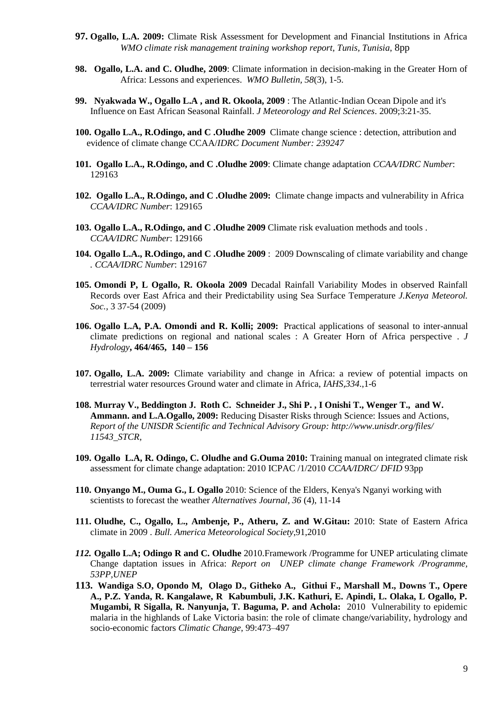- **97. Ogallo, L.A. 2009:** Climate Risk Assessment for Development and Financial Institutions in Africa *WMO climate risk management training workshop report, Tunis, Tunisia*, 8pp
- **98. Ogallo, L.A. and C. Oludhe, 2009**: Climate information in decision-making in the Greater Horn of Africa: Lessons and experiences. *WMO Bulletin, 58*(3), 1-5.
- **99. Nyakwada W., Ogallo L.A , and R. Okoola, 2009** : [The Atlantic-Indian Ocean Dipole and it's](https://profiles.uonbi.ac.ke/rokoola/publications/atlantic-indian-ocean-dipole-and-its-influence-east-african-seasonal-rainfall)  [Influence on East African Seasonal Rainfall.](https://profiles.uonbi.ac.ke/rokoola/publications/atlantic-indian-ocean-dipole-and-its-influence-east-african-seasonal-rainfall) *J Meteorology and Rel Sciences*. 2009;3:21-35.
- **100. Ogallo L.A., R.Odingo, and C .Oludhe 2009** Climate change science : detection, attribution and evidence of climate change CCAA/*IDRC Document Number: 239247*
- **101. Ogallo L.A., R.Odingo, and C .Oludhe 2009**: Climate change adaptation *CCAA/IDRC Number*: 129163
- **102. Ogallo L.A., R.Odingo, and C .Oludhe 2009:** Climate change impacts and vulnerability in Africa *CCAA/IDRC Number*: 129165
- **103. Ogallo L.A., R.Odingo, and C .Oludhe 2009** Climate risk evaluation methods and tools . *CCAA/IDRC Number*: 129166
- **104. Ogallo L.A., R.Odingo, and C .Oludhe 2009** : 2009 Downscaling of climate variability and change *. CCAA/IDRC Number*: 129167
- **105. Omondi P, L Ogallo, R. Okoola 2009** Decadal Rainfall Variability Modes in observed Rainfall Records over East Africa and their Predictability using Sea Surface Temperature *J.Kenya Meteorol. Soc.,* 3 37-54 (2009)
- **106. Ogallo L.A, P.A. Omondi and R. Kolli; 2009:** Practical applications of seasonal to inter-annual climate predictions on regional and national scales : A Greater Horn of Africa perspective . *J Hydrology***, 464/465, 140 – 156**
- **107. Ogallo, L.A. 2009:** Climate variability and change in Africa: a review of potential impacts on terrestrial water resources Ground water and climate in Africa, *IAHS,334*.,1-6
- **108. Murray V., Beddington J. Roth C. Schneider J., Shi P. , I Onishi T., Wenger T., and W. Ammann. and L.A.Ogallo, 2009:** Reducing Disaster Risks through Science: Issues and Actions, *Report of the UNISDR Scientific and Technical Advisory Group:<http://www.unisdr.org/files/> 11543\_STCR,*
- **109. Ogallo L.A, R. Odingo, C. Oludhe and G.Ouma 2010:** Training manual on integrated climate risk assessment for climate change adaptation: 2010 ICPAC /1/2010 *CCAA/IDRC/ DFID* 93pp
- **110. Onyango M., Ouma G., L Ogallo** 2010: Science of the Elders, Kenya's Nganyi working with scientists to forecast the weather *Alternatives Journal, 36* (4), 11-14
- **111. Oludhe, C., Ogallo, L., Ambenje, P., Atheru, Z. and W.Gitau:** 2010: State of Eastern Africa climate in 2009 . *Bull. America Meteorological Society*,91,2010
- *112.* **Ogallo L.A; Odingo R and C. Oludhe** 2010.Framework /Programme for UNEP articulating climate Change daptation issues in Africa: *Report on UNEP climate change Framework /Programme, 53PP,UNEP*
- **113. Wandiga S.O, Opondo M, Olago D., Githeko A., Githui F., Marshall M., Downs T., Opere A., P.Z. Yanda, R. Kangalawe, R Kabumbuli, J.K. Kathuri, E. Apindi, L. Olaka, L Ogallo, P. Mugambi, R Sigalla, R. Nanyunja, T. Baguma, P. and Achola:** 2010 Vulnerability to epidemic malaria in the highlands of Lake Victoria basin: the role of climate change/variability, hydrology and socio-economic factors *Climatic Change*, 99:473–497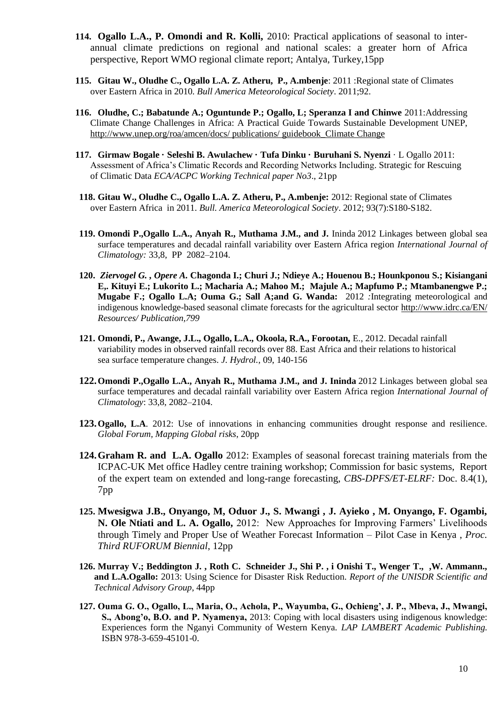- **114. Ogallo L.A., P. Omondi and R. Kolli,** 2010: Practical applications of seasonal to interannual climate predictions on regional and national scales: a greater horn of Africa perspective, Report WMO regional climate report; Antalya, Turkey,15pp
- **115. Gitau W., Oludhe C., Ogallo L.A. Z. Atheru, P., A.mbenje**: 2011 :Regional state of Climates over Eastern Africa in 2010. *Bull America Meteorological Society*. 2011;92.
- **116. Oludhe, C.; Babatunde A.; Oguntunde P.; Ogallo, L; Speranza I and Chinwe** 2011:Addressing Climate Change Challenges in Africa: A Practical Guide Towards Sustainable Development UNEP, [http://www.unep.org/roa/amcen/docs/ publications/ guidebook\\_Climate Change](http://www.unep.org/roa/amcen/docs/%20publications/%20guidebook_Climate%20Change)
- **117. Girmaw Bogale · Seleshi B. Awulachew · Tufa Dinku · Buruhani S. Nyenzi** · L Ogallo 2011: Assessment of Africa's Climatic Records and Recording Networks Including. Strategic for Rescuing of Climatic Data *ECA/ACPC Working Technical paper No3*., 21pp
- **118. Gitau W., Oludhe C., Ogallo L.A. Z. Atheru, P., A.mbenje:** 2012: Regional state of Climates over Eastern Africa in 2011. *Bull. America Meteorological Society*. 2012; 93(7):S180-S182.
- **119. Omondi P.,Ogallo L.A., Anyah R., Muthama J.M., and J.** Ininda 2012 Linkages between global sea surface temperatures and decadal rainfall variability over Eastern Africa region *International Journal of Climatology:* 33,8, PP 2082–2104.
- **120.** *Ziervogel G. , Opere A.* **Chagonda I.; Churi J.; Ndieye A.; Houenou B.; Hounkponou S.; Kisiangani E,. Kituyi E.; Lukorito L.; Macharia A.; Mahoo M.; Majule A.; Mapfumo P.; Mtambanengwe P.; Mugabe F.; Ogallo L.A; Ouma G.; Sall A;and G. Wanda:** 2012 *:*Integrating meteorological and indigenous knowledge-based seasonal climate forecasts for the agricultural sector<http://www.idrc.ca/EN/> *Resources/ Publication,799*
- **121. Omondi, P., Awange, J.L., Ogallo, L.A., Okoola, R.A., Forootan,** E., 2012. Decadal rainfall variability modes in observed rainfall records over 88. East Africa and their relations to historical sea surface temperature changes. *J. Hydrol.,* 09, 140-156
- **122.Omondi P.,Ogallo L.A., Anyah R., Muthama J.M., and J. Ininda** 2012 Linkages between global sea surface temperatures and decadal rainfall variability over Eastern Africa region *International Journal of Climatology*: 33,8, 2082–2104.
- **123.Ogallo, L.A**. 2012: Use of innovations in enhancing communities drought response and resilience. *Global Forum, Mapping Global risks*, 20pp
- **124.Graham R. and L.A. Ogallo** 2012: Examples of seasonal forecast training materials from the ICPAC-UK Met office Hadley centre training workshop; Commission for basic systems, Report of the expert team on extended and long-range forecasting, *CBS-DPFS/ET-ELRF:* Doc. 8.4(1), 7pp
- **125. Mwesigwa J.B., Onyango, M, Oduor J., S. Mwangi , J. Ayieko , M. Onyango, F. Ogambi, N. Ole Ntiati and L. A. Ogallo,** 2012: New Approaches for Improving Farmers' Livelihoods through Timely and Proper Use of Weather Forecast Information – Pilot Case in Kenya , *Proc. Third RUFORUM Biennial*, 12pp
- **126. Murray V.; Beddington J. , Roth C. Schneider J., Shi P. , i Onishi T., Wenger T., ,W. Ammann., and L.A.Ogallo:** 2013: Using Science for Disaster Risk Reduction. *Report of the UNISDR Scientific and Technical Advisory Group*, 44pp
- **127. Ouma G. O., Ogallo, L., Maria, O., Achola, P., Wayumba, G., Ochieng', J. P., Mbeva, J., Mwangi, S., Abong'o, B.O. and P. Nyamenya,** 2013: Coping with local disasters using indigenous knowledge: Experiences form the Nganyi Community of Western Kenya. *LAP LAMBERT Academic Publishing.*  ISBN 978-3-659-45101-0.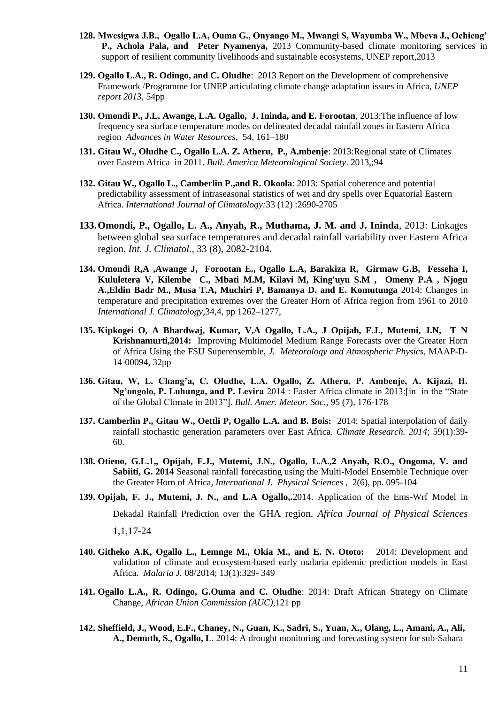- **128. Mwesigwa J.B., Ogallo L.A, Ouma G., Onyango M., Mwangi S, Wayumba W., Mbeva J., Ochieng' P., Achola Pala, and Peter Nyamenya,** 2013 Community-based climate monitoring services in support of resilient community livelihoods and sustainable ecosystems, UNEP report,2013
- **129. Ogallo L.A., R. Odingo, and C. Oludhe**: 2013 Report on the Development of comprehensive Framework /Programme for UNEP articulating climate change adaptation issues in Africa, *UNEP report 2013*, 54pp
- **130. Omondi P., J.L. Awange, L.A. Ogallo, J. Ininda, and E. Forootan**, 2013:The influence of low frequency sea surface temperature modes on delineated decadal rainfall zones in Eastern Africa region *[Advances in Water Resources](http://www.sciencedirect.com/science/journal/03091708)*, [54,](http://www.sciencedirect.com/science/journal/03091708/54/supp/C) 161–180
- **131. Gitau W., Oludhe C., Ogallo L.A. Z. Atheru, P., A.mbenje**: 2013:Regional state of Climates over Eastern Africa in 2011. *Bull. America Meteorological Society*. 2013,;94
- **132. Gitau W., Ogallo L., Camberlin P.,and R. Okoola**: 2013: Spatial coherence and potential predictability assessment of intraseasonal statistics of wet and dry spells over Equatorial Eastern Africa. *International Journal of Climatology:*33 (12) :2690-2705
- **133.Omondi, P., Ogallo, L. A., Anyah, R., Muthama, J. M. and J. Ininda**, 2013: Linkages between global sea surface temperatures and decadal rainfall variability over Eastern Africa region. *Int. J. Climatol.,* 33 (8), 2082-2104.
- **134. Omondi R,A ,Awange J, Forootan E., Ogallo L.A, Barakiza R, Girmaw G.B, Fesseha I, Kululetera V, Kilembe C., Mbati M.M, Kilavi M, King'uyu S.M , Omeny P.A , Njogu A.,Eldin Badr M., Musa T.A, Muchiri P, Bamanya D. and E. Komutunga** 2014: Changes in temperature and precipitation extremes over the Greater Horn of Africa region from 1961 to 2010 *International J. Climatology*,34,4, pp 1262–1277,
- **135. Kipkogei O, A Bhardwaj, Kumar, V,A Ogallo, L.A., J Opijah, F.J., Mutemi, J.N, T N Krishnamurti,2014:** Improving Multimodel Medium Range Forecasts over the Greater Horn of Africa Using the FSU Superensemble, *J. Meteorology and Atmospheric Physics,* MAAP-D-14-00094, 32pp
- **136. Gitau, W, L. Chang'a, C. Oludhe, L.A. Ogallo, Z. Atheru, P. Ambenje, A. Kijazi, H. Ng'ongolo, P. Luhunga, and P. Levira** 2014 : Easter Africa climate in 2013:[in in the "State of the Global Climate in 2013"]. *Bull. Amer. Meteor. Soc.,* 95 (7), 176-178
- **137. Camberlin P., Gitau W., Oettli P, Ogallo L.A. and B. Bois:** 2014: Spatial interpolation of daily rainfall stochastic generation parameters over East Africa. *Climate Research. 2014*; 59(1):39- 60.
- **138. Otieno, G.L.1,, Opijah, F.J., Mutemi, J.N., Ogallo, L.A.,2 Anyah, R.O., Ongoma, V. and Sabiiti, G. 2014** Seasonal rainfall forecasting using the Multi-Model Ensemble Technique over the Greater Horn of Africa*, International J. Physical Sciences* , 2(6), pp. 095-104
- **139. Opijah, F. J., Mutemi, J. N., and L.A Ogallo,.**2014. Application of the Ems-Wrf Model in

Dekadal Rainfall Prediction over the GHA region. *Africa Journal of Physical Sciences* 

1,1,17-24

- **140. Githeko A.K, Ogallo L., Lemnge M., Okia M., and E. N. Ototo:** 2014: [Development and](http://www.researchgate.net/publication/264986640_Development_and_validation_of_climate_and_ecosystem-based_early_malaria_epidemic_prediction_models_in_East_Africa)  [validation of climate and ecosystem-based early malaria epidemic prediction models in East](http://www.researchgate.net/publication/264986640_Development_and_validation_of_climate_and_ecosystem-based_early_malaria_epidemic_prediction_models_in_East_Africa)  [Africa.](http://www.researchgate.net/publication/264986640_Development_and_validation_of_climate_and_ecosystem-based_early_malaria_epidemic_prediction_models_in_East_Africa) *Malaria J.* 08/2014; 13(1):329- 349
- **141. Ogallo L.A., R. Odingo, G.Ouma and C. Oludhe**: 2014: Draft African Strategy on Climate Change, *African Union Commission (AUC),*121 pp
- **142. Sheffield, J., Wood, E.F., Chaney, N., Guan, K., Sadri, S., Yuan, X., Olang, L., Amani, A., Ali, A., Demuth, S., Ogallo, L**. 2014: A drought monitoring and forecasting system for sub-Sahara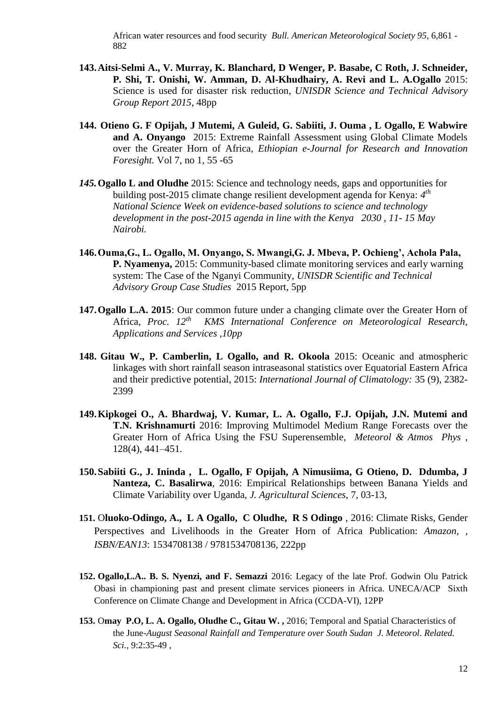African water resources and food security *Bull. American Meteorological Society 95*, 6,861 - 882

- **143.Aitsi-Selmi A., V. Murray, K. Blanchard, D Wenger, P. Basabe, C Roth, J. Schneider, P. Shi, T. Onishi, W. Amman, D. Al-Khudhairy, A. Revi and L. A.Ogallo** 2015: Science is used for disaster risk reduction, *UNISDR Science and Technical Advisory Group Report 2015*, 48pp
- **144. Otieno G. F Opijah, J Mutemi, A Guleid, G. Sabiiti, J. Ouma , L Ogallo, E Wabwire and A. Onyango** 2015: Extreme Rainfall Assessment using Global Climate Models over the Greater Horn of Africa, *Ethiopian e-Journal for Research and Innovation Foresight.* Vol 7, no 1, 55 -65
- *145.***Ogallo L and Oludhe** 2015: Science and technology needs, gaps and opportunities for building post-2015 climate change resilient development agenda for Kenya: 4<sup>th</sup> *National Science Week on evidence-based solutions to science and technology development in the post-2015 agenda in line with the Kenya 2030 , 11- 15 May Nairobi.*
- **146.Ouma,G., L. Ogallo, M. Onyango, S. Mwangi,G. J. Mbeva, P. Ochieng', Achola Pala, P. Nyamenya,** 2015: Community-based climate monitoring services and early warning system: The Case of the Nganyi Community, *UNISDR Scientific and Technical Advisory Group Case Studies* 2015 Report, 5pp
- **147.Ogallo L.A. 2015**: Our common future under a changing climate over the Greater Horn of Africa, *Proc. 12th KMS International Conference on Meteorological Research, Applications and Services ,10pp*
- **148. Gitau W., P. Camberlin, L Ogallo, and R. Okoola** 2015: Oceanic and atmospheric linkages with short rainfall season intraseasonal statistics over Equatorial Eastern Africa and their predictive potential, 2015: *International Journal of Climatology:* 35 (9), 2382- 2399
- **149.Kipkogei O., A. Bhardwaj, V. Kumar, L. A. Ogallo, F.J. Opijah, J.N. Mutemi and T.N. Krishnamurti** 2016: Improving Multimodel Medium Range Forecasts over the Greater Horn of Africa Using the FSU Superensemble, *Meteorol & Atmos Phys* , 128(4), 441–451.
- **150.Sabiiti G., J. Ininda , L. Ogallo, F Opijah, A Nimusiima, G Otieno, D. Ddumba, J Nanteza, C. Basalirwa**, 2016: Empirical Relationships between Banana Yields and Climate Variability over Uganda, *J. Agricultural Sciences*, 7, 03-13,
- **151.** O**luoko-Odingo, A., L A Ogallo, C Oludhe, R S Odingo** , 2016: Climate Risks, Gender Perspectives and Livelihoods in the Greater Horn of Africa Publication: *Amazon, , ISBN/EAN13*: 1534708138 / 9781534708136, 222pp
- **152. Ogallo,L.A.. B. S. Nyenzi, and F. Semazzi** 2016: Legacy of the late Prof. Godwin Olu Patrick Obasi in championing past and present climate services pioneers in Africa. UNECA/ACP Sixth Conference on Climate Change and Development in Africa (CCDA-VI), 12PP
- **153.** O**may P.O, L. A. Ogallo, Oludhe C., Gitau W. ,** 2016; Temporal and Spatial Characteristics of the June-*August Seasonal Rainfall and Temperature over South Sudan J. Meteorol. Related. Sci.,* 9:2:35-49 ,